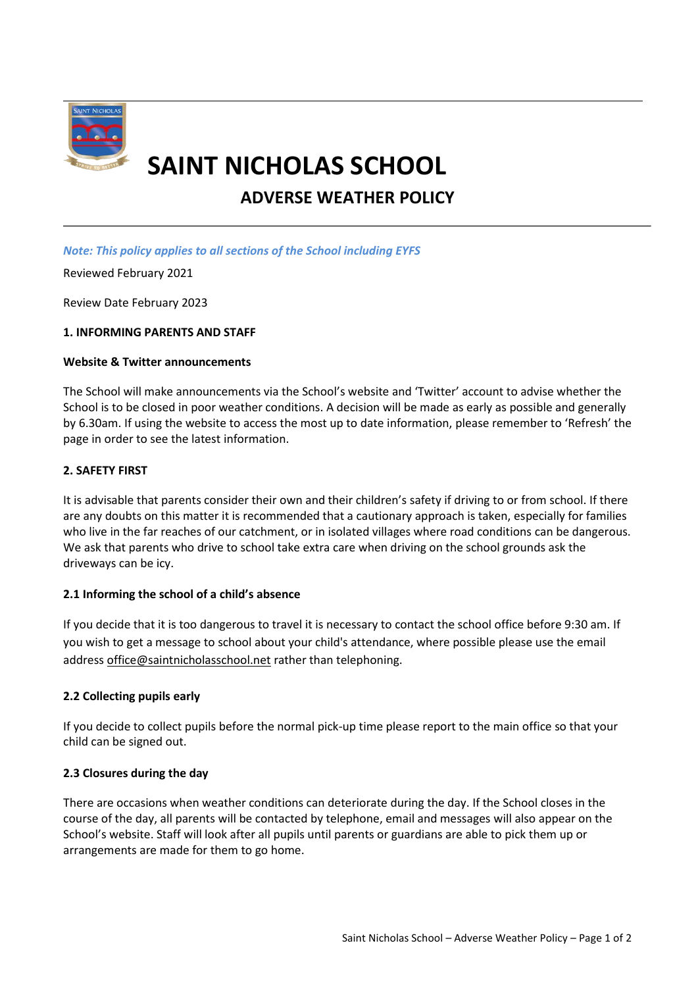

# **SAINT NICHOLAS SCHOOL**

# **ADVERSE WEATHER POLICY**

## *Note: This policy applies to all sections of the School including EYFS*

Reviewed February 2021

Review Date February 2023

## **1. INFORMING PARENTS AND STAFF**

#### **Website & Twitter announcements**

The School will make announcements via the School's website and 'Twitter' account to advise whether the School is to be closed in poor weather conditions. A decision will be made as early as possible and generally by 6.30am. If using the website to access the most up to date information, please remember to 'Refresh' the page in order to see the latest information.

## **2. SAFETY FIRST**

It is advisable that parents consider their own and their children's safety if driving to or from school. If there are any doubts on this matter it is recommended that a cautionary approach is taken, especially for families who live in the far reaches of our catchment, or in isolated villages where road conditions can be dangerous. We ask that parents who drive to school take extra care when driving on the school grounds ask the driveways can be icy.

#### **2.1 Informing the school of a child's absence**

If you decide that it is too dangerous to travel it is necessary to contact the school office before 9:30 am. If you wish to get a message to school about your child's attendance, where possible please use the email address office@saintnicholasschool.net rather than telephoning.

# **2.2 Collecting pupils early**

If you decide to collect pupils before the normal pick-up time please report to the main office so that your child can be signed out.

#### **2.3 Closures during the day**

There are occasions when weather conditions can deteriorate during the day. If the School closes in the course of the day, all parents will be contacted by telephone, email and messages will also appear on the School's website. Staff will look after all pupils until parents or guardians are able to pick them up or arrangements are made for them to go home.